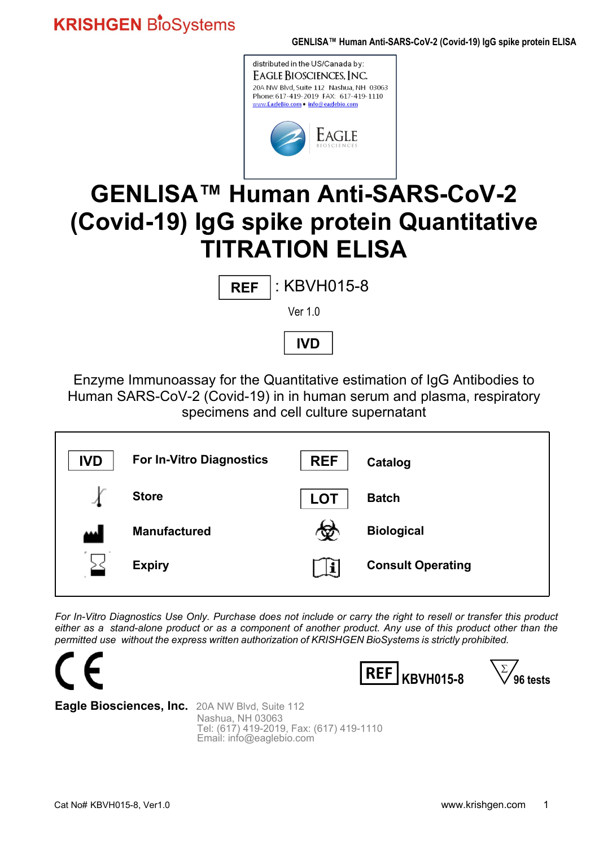

# **GENLISA™ Human Anti-SARS-CoV-2 (Covid-19) IgG spike protein Quantitative TITRATION ELISA**

| <b>REF</b> | $\vert$ : KBVH015-8 |
|------------|---------------------|
|------------|---------------------|

Ver 1.0



Enzyme Immunoassay for the Quantitative estimation of IgG Antibodies to Human SARS-CoV-2 (Covid-19) in in human serum and plasma, respiratory specimens and cell culture supernatant

| <b>IVD</b> | <b>For In-Vitro Diagnostics</b> | <b>REF</b> | Catalog                  |
|------------|---------------------------------|------------|--------------------------|
|            | <b>Store</b>                    | <b>LOT</b> | <b>Batch</b>             |
| 444        | <b>Manufactured</b>             | w          | <b>Biological</b>        |
|            | <b>Expiry</b>                   |            | <b>Consult Operating</b> |

*For In-Vitro Diagnostics Use Only. Purchase does not include or carry the right to resell or transfer this product either as a stand-alone product or as a component of another product. Any use of this product other than the permitted use without the express written authorization of KRISHGEN BioSystems is strictly prohibited.*



Nashua, NH 03063 Tel: (617) 419-2019, Fax: (617) 419-1110 Email: info@eaglebio.com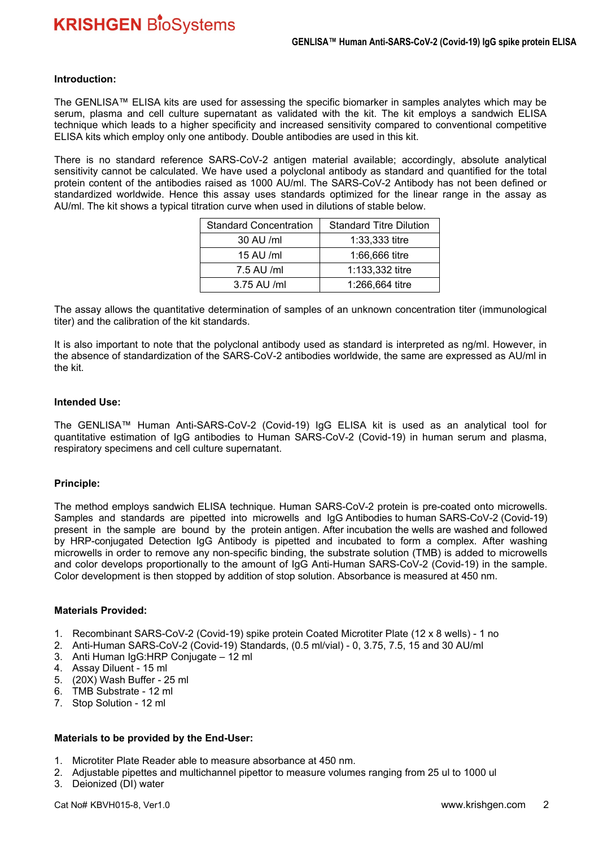#### **Introduction:**

The GENLISA™ ELISA kits are used for assessing the specific biomarker in samples analytes which may be serum, plasma and cell culture supernatant as validated with the kit. The kit employs a sandwich ELISA technique which leads to a higher specificity and increased sensitivity compared to conventional competitive ELISA kits which employ only one antibody. Double antibodies are used in this kit.

There is no standard reference SARS-CoV-2 antigen material available; accordingly, absolute analytical sensitivity cannot be calculated. We have used a polyclonal antibody as standard and quantified for the total protein content of the antibodies raised as 1000 AU/ml. The SARS-CoV-2 Antibody has not been defined or standardized worldwide. Hence this assay uses standards optimized for the linear range in the assay as AU/ml. The kit shows a typical titration curve when used in dilutions of stable below.

| <b>Standard Concentration</b> | <b>Standard Titre Dilution</b> |
|-------------------------------|--------------------------------|
| 30 AU /ml                     | $1:33,333$ titre               |
| 15 AU /ml                     | 1:66,666 titre                 |
| 7.5 AU /ml                    | 1:133,332 titre                |
| 3.75 AU /ml                   | 1:266,664 titre                |

The assay allows the quantitative determination of samples of an unknown concentration titer (immunological titer) and the calibration of the kit standards.

It is also important to note that the polyclonal antibody used as standard is interpreted as ng/ml. However, in the absence of standardization of the SARS-CoV-2 antibodies worldwide, the same are expressed as AU/ml in the kit.

#### **Intended Use:**

The GENLISA™ Human Anti-SARS-CoV-2 (Covid-19) IgG ELISA kit is used as an analytical tool for quantitative estimation of IgG antibodies to Human SARS-CoV-2 (Covid-19) in human serum and plasma, respiratory specimens and cell culture supernatant.

#### **Principle:**

The method employs sandwich ELISA technique. Human SARS-CoV-2 protein is pre-coated onto microwells. Samples and standards are pipetted into microwells and IgG Antibodies to human SARS-CoV-2 (Covid-19) present in the sample are bound by the protein antigen. After incubation the wells are washed and followed by HRP-conjugated Detection IgG Antibody is pipetted and incubated to form a complex. After washing microwells in order to remove any non-specific binding, the substrate solution (TMB) is added to microwells and color develops proportionally to the amount of IgG Anti-Human SARS-CoV-2 (Covid-19) in the sample. Color development is then stopped by addition of stop solution. Absorbance is measured at 450 nm.

#### **Materials Provided:**

- 1. Recombinant SARS-CoV-2 (Covid-19) spike protein Coated Microtiter Plate (12 x 8 wells) 1 no
- 2. Anti-Human SARS-CoV-2 (Covid-19) Standards, (0.5 ml/vial) 0, 3.75, 7.5, 15 and 30 AU/ml
- 3. Anti Human IgG:HRP Conjugate 12 ml
- 4. Assay Diluent 15 ml
- 5. (20X) Wash Buffer 25 ml
- 6. TMB Substrate 12 ml
- 7. Stop Solution 12 ml

#### **Materials to be provided by the End-User:**

- 1. Microtiter Plate Reader able to measure absorbance at 450 nm.
- 2. Adjustable pipettes and multichannel pipettor to measure volumes ranging from 25 ul to 1000 ul
- 3. Deionized (DI) water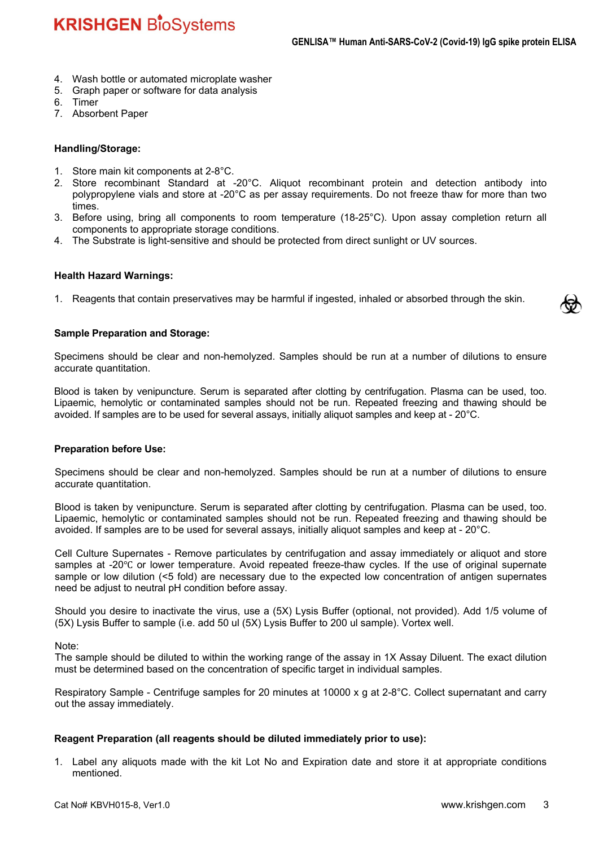- 4. Wash bottle or automated microplate washer
- 5. Graph paper or software for data analysis
- 6. Timer
- 7. Absorbent Paper

#### **Handling/Storage:**

- 1. Store main kit components at 2-8°C.
- 2. Store recombinant Standard at -20°C. Aliquot recombinant protein and detection antibody into polypropylene vials and store at -20°C as per assay requirements. Do not freeze thaw for more than two times.
- 3. Before using, bring all components to room temperature (18-25°C). Upon assay completion return all components to appropriate storage conditions.
- 4. The Substrate is light-sensitive and should be protected from direct sunlight or UV sources.

#### **Health Hazard Warnings:**

1. Reagents that contain preservatives may be harmful if ingested, inhaled or absorbed through the skin.

#### **Sample Preparation and Storage:**

Specimens should be clear and non-hemolyzed. Samples should be run at a number of dilutions to ensure accurate quantitation.

Blood is taken by venipuncture. Serum is separated after clotting by centrifugation. Plasma can be used, too. Lipaemic, hemolytic or contaminated samples should not be run. Repeated freezing and thawing should be avoided. If samples are to be used for several assays, initially aliquot samples and keep at - 20°C.

#### **Preparation before Use:**

Specimens should be clear and non-hemolyzed. Samples should be run at a number of dilutions to ensure accurate quantitation.

Blood is taken by venipuncture. Serum is separated after clotting by centrifugation. Plasma can be used, too. Lipaemic, hemolytic or contaminated samples should not be run. Repeated freezing and thawing should be avoided. If samples are to be used for several assays, initially aliquot samples and keep at - 20°C.

Cell Culture Supernates - Remove particulates by centrifugation and assay immediately or aliquot and store samples at -20℃ or lower temperature. Avoid repeated freeze-thaw cycles. If the use of original supernate sample or low dilution (<5 fold) are necessary due to the expected low concentration of antigen supernates need be adjust to neutral pH condition before assay.

Should you desire to inactivate the virus, use a (5X) Lysis Buffer (optional, not provided). Add 1/5 volume of (5X) Lysis Buffer to sample (i.e. add 50 ul (5X) Lysis Buffer to 200 ul sample). Vortex well.

Note:

The sample should be diluted to within the working range of the assay in 1X Assay Diluent. The exact dilution must be determined based on the concentration of specific target in individual samples.

Respiratory Sample - Centrifuge samples for 20 minutes at 10000 x g at 2-8°C. Collect supernatant and carry out the assay immediately.

#### **Reagent Preparation (all reagents should be diluted immediately prior to use):**

1. Label any aliquots made with the kit Lot No and Expiration date and store it at appropriate conditions mentioned.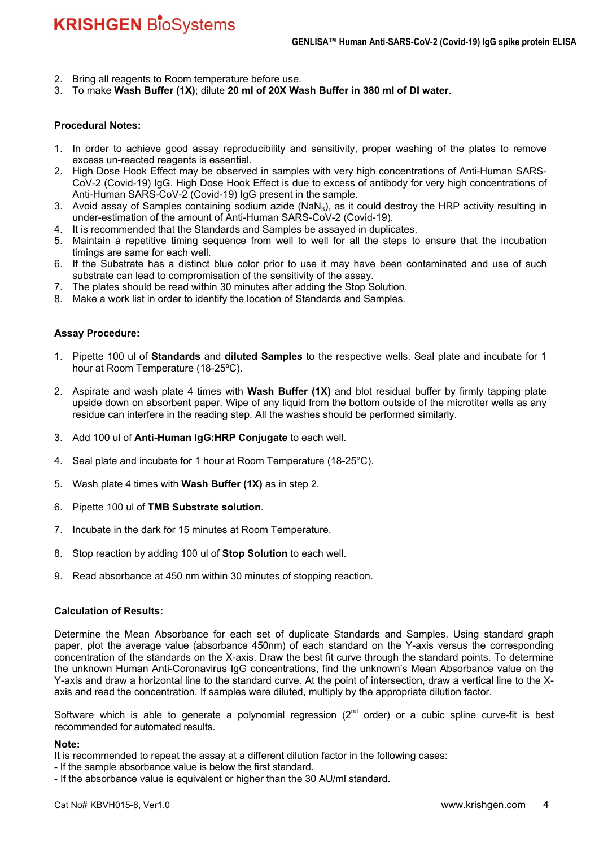- 2. Bring all reagents to Room temperature before use.
- 3. To make **Wash Buffer (1X)**; dilute **20 ml of 20X Wash Buffer in 380 ml of DI water**.

#### **Procedural Notes:**

- 1. In order to achieve good assay reproducibility and sensitivity, proper washing of the plates to remove excess un-reacted reagents is essential.
- 2. High Dose Hook Effect may be observed in samples with very high concentrations of Anti-Human SARS-CoV-2 (Covid-19) IgG. High Dose Hook Effect is due to excess of antibody for very high concentrations of Anti-Human SARS-CoV-2 (Covid-19) IgG present in the sample.
- 3. Avoid assay of Samples containing sodium azide (NaN<sub>3</sub>), as it could destroy the HRP activity resulting in under-estimation of the amount of Anti-Human SARS-CoV-2 (Covid-19).
- 4. It is recommended that the Standards and Samples be assayed in duplicates.
- 5. Maintain a repetitive timing sequence from well to well for all the steps to ensure that the incubation timings are same for each well.
- 6. If the Substrate has a distinct blue color prior to use it may have been contaminated and use of such substrate can lead to compromisation of the sensitivity of the assay.
- 7. The plates should be read within 30 minutes after adding the Stop Solution.
- 8. Make a work list in order to identify the location of Standards and Samples.

#### **Assay Procedure:**

- 1. Pipette 100 ul of **Standards** and **diluted Samples** to the respective wells. Seal plate and incubate for 1 hour at Room Temperature (18-25ºC).
- 2. Aspirate and wash plate 4 times with **Wash Buffer (1X)** and blot residual buffer by firmly tapping plate upside down on absorbent paper. Wipe of any liquid from the bottom outside of the microtiter wells as any residue can interfere in the reading step. All the washes should be performed similarly.
- 3. Add 100 ul of **Anti-Human IgG:HRP Conjugate** to each well.
- 4. Seal plate and incubate for 1 hour at Room Temperature (18-25°C).
- 5. Wash plate 4 times with **Wash Buffer (1X)** as in step 2.
- 6. Pipette 100 ul of **TMB Substrate solution**.
- 7. Incubate in the dark for 15 minutes at Room Temperature.
- 8. Stop reaction by adding 100 ul of **Stop Solution** to each well.
- 9. Read absorbance at 450 nm within 30 minutes of stopping reaction.

#### **Calculation of Results:**

Determine the Mean Absorbance for each set of duplicate Standards and Samples. Using standard graph paper, plot the average value (absorbance 450nm) of each standard on the Y-axis versus the corresponding concentration of the standards on the X-axis. Draw the best fit curve through the standard points. To determine the unknown Human Anti-Coronavirus IgG concentrations, find the unknown's Mean Absorbance value on the Y-axis and draw a horizontal line to the standard curve. At the point of intersection, draw a vertical line to the Xaxis and read the concentration. If samples were diluted, multiply by the appropriate dilution factor.

Software which is able to generate a polynomial regression  $(2^{nd}$  order) or a cubic spline curve-fit is best recommended for automated results.

#### **Note:**

It is recommended to repeat the assay at a different dilution factor in the following cases:

- If the sample absorbance value is below the first standard.
- If the absorbance value is equivalent or higher than the 30 AU/ml standard.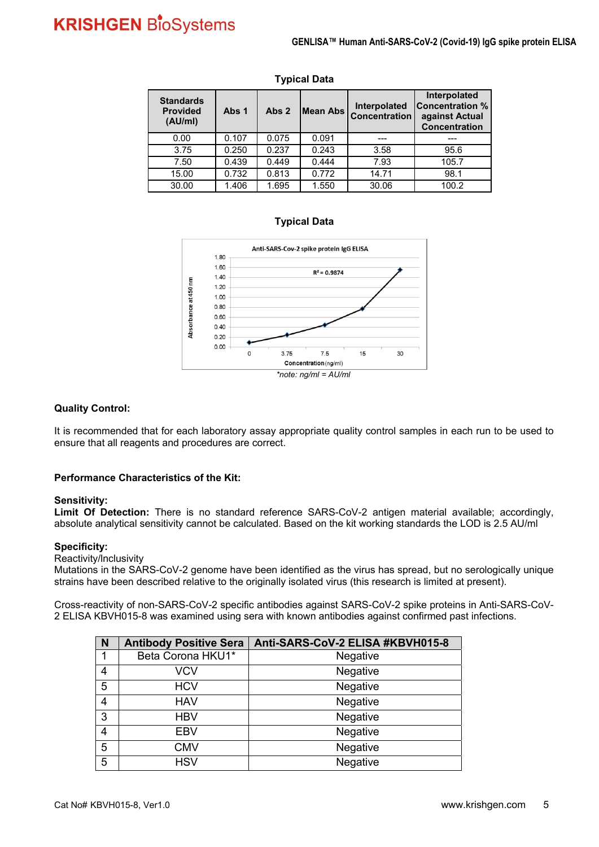| <b>Standards</b><br><b>Provided</b><br>(AU/ml) | Abs 1 | Abs 2 | <b>IMean Abs</b> | Interpolated<br><b>Concentration</b> | Interpolated<br><b>Concentration %</b><br>against Actual<br><b>Concentration</b> |
|------------------------------------------------|-------|-------|------------------|--------------------------------------|----------------------------------------------------------------------------------|
| 0.00                                           | 0.107 | 0.075 | 0.091            |                                      |                                                                                  |
| 3.75                                           | 0.250 | 0.237 | 0.243            | 3.58                                 | 95.6                                                                             |
| 7.50                                           | 0.439 | 0.449 | 0.444            | 7.93                                 | 105.7                                                                            |
| 15.00                                          | 0.732 | 0.813 | 0.772            | 14.71                                | 98.1                                                                             |
| 30.00                                          | 1.406 | 1.695 | 1.550            | 30.06                                | 100.2                                                                            |

#### **Typical Data**

#### **Typical Data**



#### **Quality Control:**

It is recommended that for each laboratory assay appropriate quality control samples in each run to be used to ensure that all reagents and procedures are correct.

#### **Performance Characteristics of the Kit:**

#### **Sensitivity:**

**Limit Of Detection:** There is no standard reference SARS-CoV-2 antigen material available; accordingly, absolute analytical sensitivity cannot be calculated. Based on the kit working standards the LOD is 2.5 AU/ml

#### **Specificity:**

Reactivity/lnclusivity

Mutations in the SARS-CoV-2 genome have been identified as the virus has spread, but no serologically unique strains have been described relative to the originally isolated virus (this research is limited at present).

Cross-reactivity of non-SARS-CoV-2 specific antibodies against SARS-CoV-2 spike proteins in Anti-SARS-CoV-2 ELISA KBVH015-8 was examined using sera with known antibodies against confirmed past infections.

| $\overline{\mathsf{N}}$ | <b>Antibody Positive Sera</b> | Anti-SARS-CoV-2 ELISA #KBVH015-8 |
|-------------------------|-------------------------------|----------------------------------|
| 1                       | Beta Corona HKU1*             | Negative                         |
| $\overline{4}$          | <b>VCV</b>                    | Negative                         |
| $\overline{5}$          | <b>HCV</b>                    | Negative                         |
| $\overline{4}$          | <b>HAV</b>                    | Negative                         |
| $\overline{3}$          | <b>HBV</b>                    | Negative                         |
| $\overline{4}$          | <b>EBV</b>                    | Negative                         |
| $\overline{5}$          | <b>CMV</b>                    | Negative                         |
| $\overline{5}$          | <b>HSV</b>                    | Negative                         |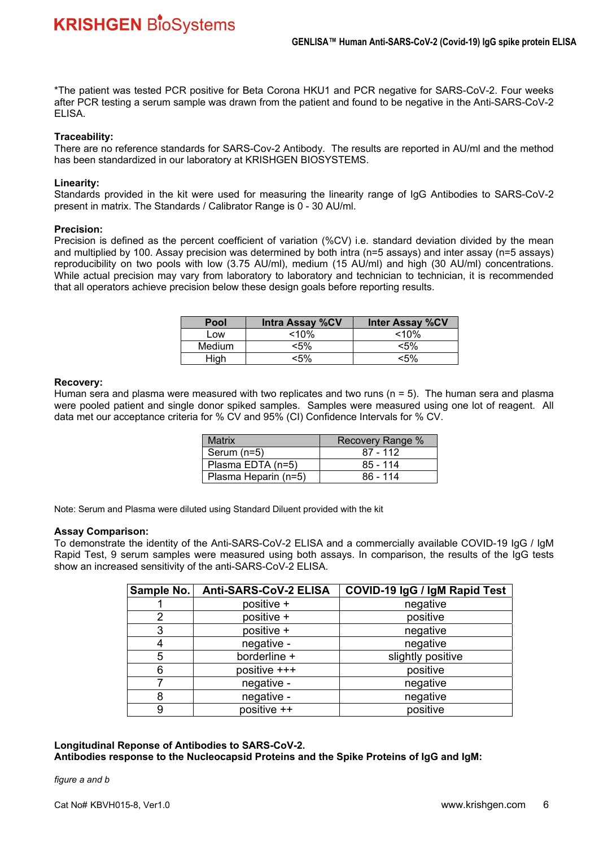\*The patient was tested PCR positive for Beta Corona HKU1 and PCR negative for SARS-CoV-2. Four weeks after PCR testing a serum sample was drawn from the patient and found to be negative in the Anti-SARS-CoV-2 ELISA.

#### **Traceability:**

There are no reference standards for SARS-Cov-2 Antibody. The results are reported in AU/ml and the method has been standardized in our laboratory at KRISHGEN BIOSYSTEMS.

#### **Linearity:**

Standards provided in the kit were used for measuring the linearity range of IgG Antibodies to SARS-CoV-2 present in matrix. The Standards / Calibrator Range is 0 - 30 AU/ml.

#### **Precision:**

Precision is defined as the percent coefficient of variation (%CV) i.e. standard deviation divided by the mean and multiplied by 100. Assay precision was determined by both intra (n=5 assays) and inter assay (n=5 assays) reproducibility on two pools with low (3.75 AU/ml), medium (15 AU/ml) and high (30 AU/ml) concentrations. While actual precision may vary from laboratory to laboratory and technician to technician, it is recommended that all operators achieve precision below these design goals before reporting results.

| Pool   | <b>Intra Assay %CV</b> | <b>Inter Assay %CV</b> |  |
|--------|------------------------|------------------------|--|
| Low    | $< 10\%$               | $<$ 10%                |  |
| Medium | <5%                    | $< 5\%$                |  |
| High   | <5%                    | <5%                    |  |

#### **Recovery:**

Human sera and plasma were measured with two replicates and two runs ( $n = 5$ ). The human sera and plasma were pooled patient and single donor spiked samples. Samples were measured using one lot of reagent. All data met our acceptance criteria for % CV and 95% (CI) Confidence Intervals for % CV.

| <b>Matrix</b>        | Recovery Range % |
|----------------------|------------------|
| Serum (n=5)          | $87 - 112$       |
| Plasma EDTA (n=5)    | $85 - 114$       |
| Plasma Heparin (n=5) | 86 - 114         |

Note: Serum and Plasma were diluted using Standard Diluent provided with the kit

#### **Assay Comparison:**

To demonstrate the identity of the Anti-SARS-CoV-2 ELISA and a commercially available COVID-19 IgG / IgM Rapid Test, 9 serum samples were measured using both assays. In comparison, the results of the IgG tests show an increased sensitivity of the anti-SARS-CoV-2 ELISA.

| Sample No. | Anti-SARS-CoV-2 ELISA | COVID-19 IgG / IgM Rapid Test |  |
|------------|-----------------------|-------------------------------|--|
|            | positive +            | negative                      |  |
| 2          | positive +            | positive                      |  |
| 3          | positive +            | negative                      |  |
| 4          | negative -            | negative                      |  |
| 5          | borderline +          | slightly positive             |  |
| 6          | positive +++          | positive                      |  |
|            | negative -            | negative                      |  |
| 8          | negative -            | negative                      |  |
| 9          | positive ++           | positive                      |  |

#### **Longitudinal Reponse of Antibodies to SARS-CoV-2.**

**Antibodies response to the Nucleocapsid Proteins and the Spike Proteins of IgG and IgM:** 

*figure a and b*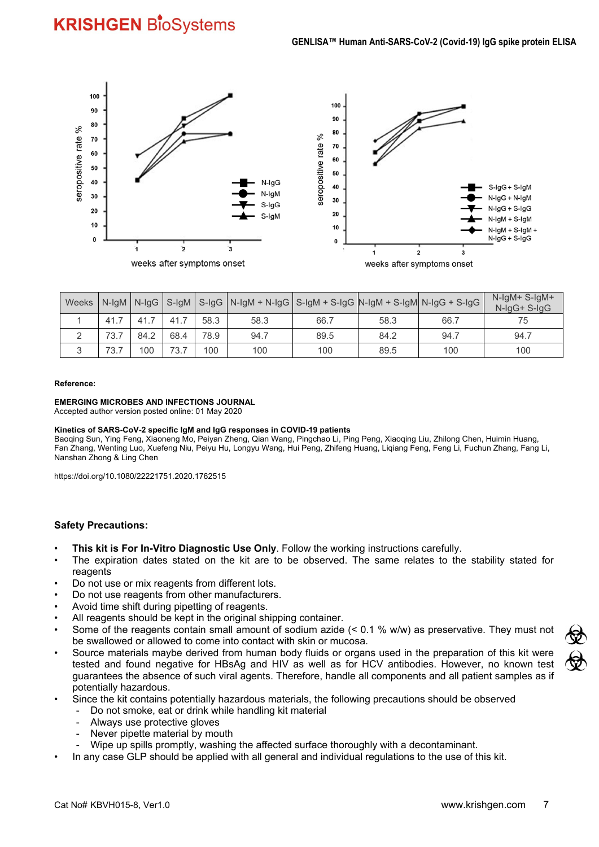

|  |      |      |      |      | Weeks   N-IgM   N-IgG   S-IgM   S-IgG   N-IgM + N-IgG   S-IgM + S-IgG   N-IgM + S-IgM   N-IgG + S-IgG |      |      |      | $N$ -laM+ S-laM+<br>N-IgG+ S-IgG |
|--|------|------|------|------|-------------------------------------------------------------------------------------------------------|------|------|------|----------------------------------|
|  | 41.7 | 41.7 | 41.7 | 58.3 | 58.3                                                                                                  | 66.7 | 58.3 | 66.7 |                                  |
|  | 73.7 | 84.2 | 68.4 | 78.9 | 94.7                                                                                                  | 89.5 | 84.2 | 94.7 | 94.7                             |
|  | 73.7 | 100  | 73.7 | 100  | 100                                                                                                   | 100  | 89.5 | 100  | 100                              |

#### **Reference:**

#### **EMERGING MICROBES AND INFECTIONS JOURNAL**

Accepted author version posted online: 01 May 2020

#### **Kinetics of SARS-CoV-2 specific IgM and IgG responses in COVID-19 patients**

Baoqing Sun, Ying Feng, Xiaoneng Mo, Peiyan Zheng, Qian Wang, Pingchao Li, Ping Peng, Xiaoqing Liu, Zhilong Chen, Huimin Huang, Fan Zhang, Wenting Luo, Xuefeng Niu, Peiyu Hu, Longyu Wang, Hui Peng, Zhifeng Huang, Liqiang Feng, Feng Li, Fuchun Zhang, Fang Li, Nanshan Zhong & Ling Chen

https://doi.org/10.1080/22221751.2020.1762515

#### **Safety Precautions:**

- **This kit is For In-Vitro Diagnostic Use Only**. Follow the working instructions carefully.
- The expiration dates stated on the kit are to be observed. The same relates to the stability stated for reagents
- Do not use or mix reagents from different lots.
- Do not use reagents from other manufacturers.
- Avoid time shift during pipetting of reagents.
- All reagents should be kept in the original shipping container.
- Some of the reagents contain small amount of sodium azide (< 0.1 % w/w) as preservative. They must not be swallowed or allowed to come into contact with skin or mucosa.
- Source materials maybe derived from human body fluids or organs used in the preparation of this kit were tested and found negative for HBsAg and HIV as well as for HCV antibodies. However, no known test guarantees the absence of such viral agents. Therefore, handle all components and all patient samples as if potentially hazardous.
- Since the kit contains potentially hazardous materials, the following precautions should be observed
	- Do not smoke, eat or drink while handling kit material
	- Always use protective gloves
	- Never pipette material by mouth
	- Wipe up spills promptly, washing the affected surface thoroughly with a decontaminant.
	- In any case GLP should be applied with all general and individual regulations to the use of this kit.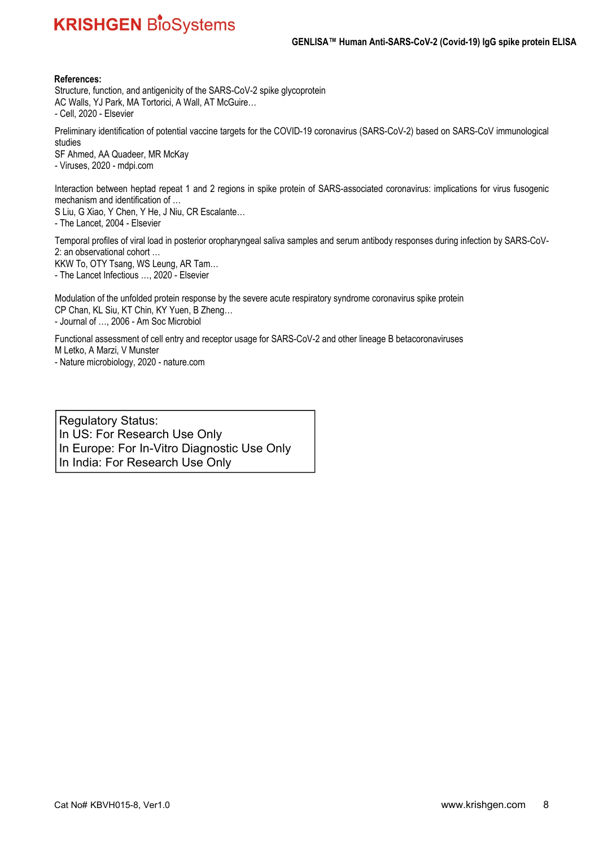#### **References:**

Structure, function, and antigenicity of the SARS-CoV-2 spike glycoprotein AC Walls, YJ Park, MA Tortorici, A Wall, AT McGuire… - Cell, 2020 - Elsevier

Preliminary identification of potential vaccine targets for the COVID-19 coronavirus (SARS-CoV-2) based on SARS-CoV immunological studies

SF Ahmed, AA Quadeer, MR McKay - Viruses, 2020 - mdpi.com

Interaction between heptad repeat 1 and 2 regions in spike protein of SARS-associated coronavirus: implications for virus fusogenic mechanism and identification of …

S Liu, G Xiao, Y Chen, Y He, J Niu, CR Escalante…

- The Lancet, 2004 - Elsevier

Temporal profiles of viral load in posterior oropharyngeal saliva samples and serum antibody responses during infection by SARS-CoV-2: an observational cohort …

KKW To, OTY Tsang, WS Leung, AR Tam… - The Lancet Infectious …, 2020 - Elsevier

Modulation of the unfolded protein response by the severe acute respiratory syndrome coronavirus spike protein CP Chan, KL Siu, KT Chin, KY Yuen, B Zheng… - Journal of …, 2006 - Am Soc Microbiol

Functional assessment of cell entry and receptor usage for SARS-CoV-2 and other lineage B betacoronaviruses M Letko, A Marzi, V Munster

- Nature microbiology, 2020 - nature.com

Regulatory Status: In US: For Research Use Only In Europe: For In-Vitro Diagnostic Use Only In India: For Research Use Only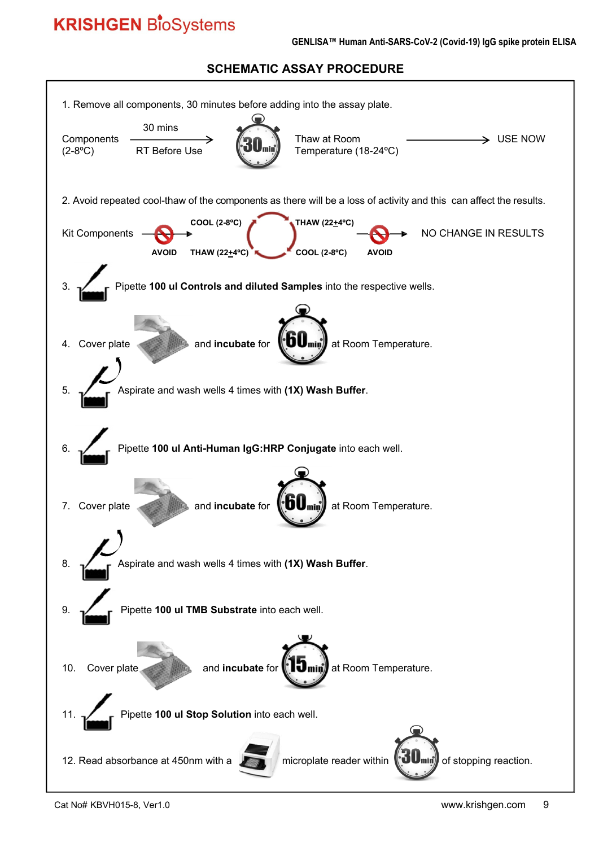#### **GENLISA™ Human Anti-SARS-CoV-2 (Covid-19) IgG spike protein ELISA**

### **SCHEMATIC ASSAY PROCEDURE**